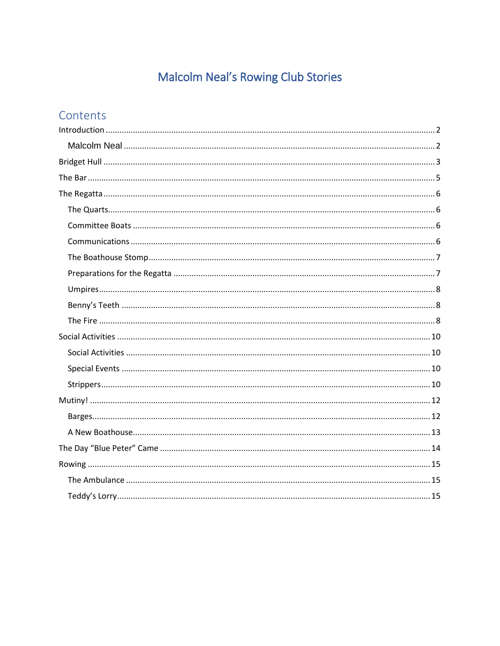# Malcolm Neal's Rowing Club Stories

# Contents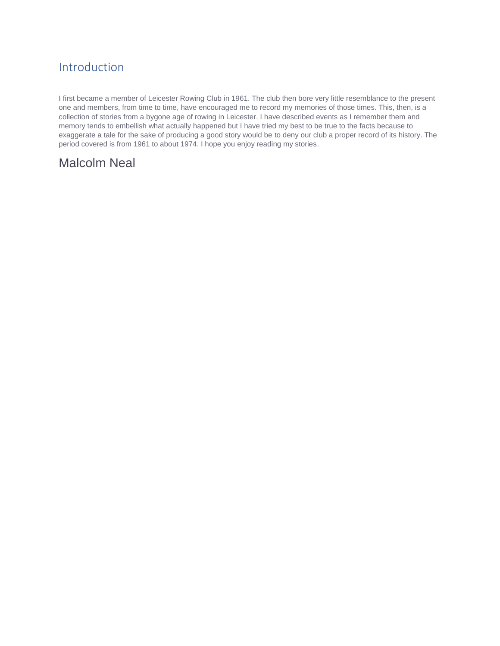# <span id="page-1-0"></span>Introduction

I first became a member of Leicester Rowing Club in 1961. The club then bore very little resemblance to the present one and members, from time to time, have encouraged me to record my memories of those times. This, then, is a collection of stories from a bygone age of rowing in Leicester. I have described events as I remember them and memory tends to embellish what actually happened but I have tried my best to be true to the facts because to exaggerate a tale for the sake of producing a good story would be to deny our club a proper record of its history. The period covered is from 1961 to about 1974. I hope you enjoy reading my stories.

# <span id="page-1-1"></span>Malcolm Neal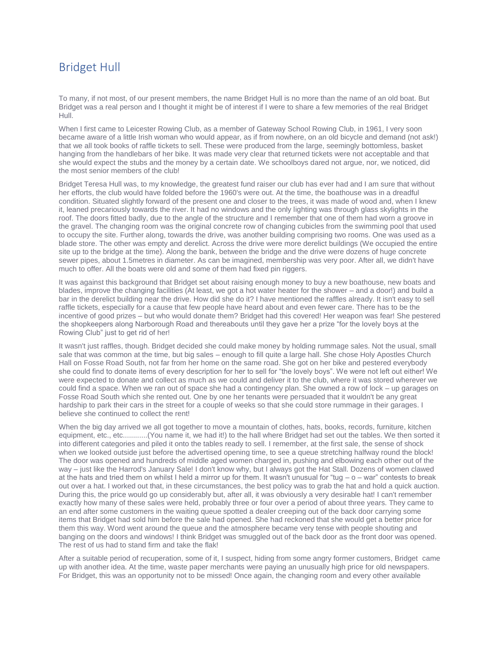### <span id="page-2-0"></span>Bridget Hull

To many, if not most, of our present members, the name Bridget Hull is no more than the name of an old boat. But Bridget was a real person and I thought it might be of interest if I were to share a few memories of the real Bridget Hull.

When I first came to Leicester Rowing Club, as a member of Gateway School Rowing Club, in 1961, I very soon became aware of a little Irish woman who would appear, as if from nowhere, on an old bicycle and demand (not ask!) that we all took books of raffle tickets to sell. These were produced from the large, seemingly bottomless, basket hanging from the handlebars of her bike. It was made very clear that returned tickets were not acceptable and that she would expect the stubs and the money by a certain date. We schoolboys dared not argue, nor, we noticed, did the most senior members of the club!

Bridget Teresa Hull was, to my knowledge, the greatest fund raiser our club has ever had and I am sure that without her efforts, the club would have folded before the 1960's were out. At the time, the boathouse was in a dreadful condition. Situated slightly forward of the present one and closer to the trees, it was made of wood and, when I knew it, leaned precariously towards the river. It had no windows and the only lighting was through glass skylights in the roof. The doors fitted badly, due to the angle of the structure and I remember that one of them had worn a groove in the gravel. The changing room was the original concrete row of changing cubicles from the swimming pool that used to occupy the site. Further along, towards the drive, was another building comprising two rooms. One was used as a blade store. The other was empty and derelict. Across the drive were more derelict buildings (We occupied the entire site up to the bridge at the time). Along the bank, between the bridge and the drive were dozens of huge concrete sewer pipes, about 1.5metres in diameter. As can be imagined, membership was very poor. After all, we didn't have much to offer. All the boats were old and some of them had fixed pin riggers.

It was against this background that Bridget set about raising enough money to buy a new boathouse, new boats and blades, improve the changing facilities (At least, we got a hot water heater for the shower – and a door!) and build a bar in the derelict building near the drive. How did she do it? I have mentioned the raffles already. It isn't easy to sell raffle tickets, especially for a cause that few people have heard about and even fewer care. There has to be the incentive of good prizes – but who would donate them? Bridget had this covered! Her weapon was fear! She pestered the shopkeepers along Narborough Road and thereabouts until they gave her a prize "for the lovely boys at the Rowing Club" just to get rid of her!

It wasn't just raffles, though. Bridget decided she could make money by holding rummage sales. Not the usual, small sale that was common at the time, but big sales – enough to fill quite a large hall. She chose Holy Apostles Church Hall on Fosse Road South, not far from her home on the same road. She got on her bike and pestered everybody she could find to donate items of every description for her to sell for "the lovely boys". We were not left out either! We were expected to donate and collect as much as we could and deliver it to the club, where it was stored wherever we could find a space. When we ran out of space she had a contingency plan. She owned a row of lock – up garages on Fosse Road South which she rented out. One by one her tenants were persuaded that it wouldn't be any great hardship to park their cars in the street for a couple of weeks so that she could store rummage in their garages. I believe she continued to collect the rent!

When the big day arrived we all got together to move a mountain of clothes, hats, books, records, furniture, kitchen equipment, etc., etc............(You name it, we had it!) to the hall where Bridget had set out the tables. We then sorted it into different categories and piled it onto the tables ready to sell. I remember, at the first sale, the sense of shock when we looked outside just before the advertised opening time, to see a queue stretching halfway round the block! The door was opened and hundreds of middle aged women charged in, pushing and elbowing each other out of the way – just like the Harrod's January Sale! I don't know why, but I always got the Hat Stall. Dozens of women clawed at the hats and tried them on whilst I held a mirror up for them. It wasn't unusual for "tug  $o$   $-$  war" contests to break out over a hat. I worked out that, in these circumstances, the best policy was to grab the hat and hold a quick auction. During this, the price would go up considerably but, after all, it was obviously a very desirable hat! I can't remember exactly how many of these sales were held, probably three or four over a period of about three years. They came to an end after some customers in the waiting queue spotted a dealer creeping out of the back door carrying some items that Bridget had sold him before the sale had opened. She had reckoned that she would get a better price for them this way. Word went around the queue and the atmosphere became very tense with people shouting and banging on the doors and windows! I think Bridget was smuggled out of the back door as the front door was opened. The rest of us had to stand firm and take the flak!

After a suitable period of recuperation, some of it, I suspect, hiding from some angry former customers, Bridget came up with another idea. At the time, waste paper merchants were paying an unusually high price for old newspapers. For Bridget, this was an opportunity not to be missed! Once again, the changing room and every other available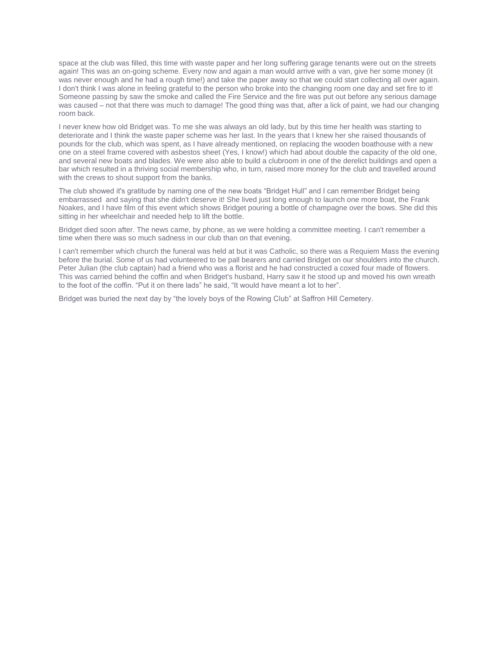space at the club was filled, this time with waste paper and her long suffering garage tenants were out on the streets again! This was an on-going scheme. Every now and again a man would arrive with a van, give her some money (it was never enough and he had a rough time!) and take the paper away so that we could start collecting all over again. I don't think I was alone in feeling grateful to the person who broke into the changing room one day and set fire to it! Someone passing by saw the smoke and called the Fire Service and the fire was put out before any serious damage was caused – not that there was much to damage! The good thing was that, after a lick of paint, we had our changing room back.

I never knew how old Bridget was. To me she was always an old lady, but by this time her health was starting to deteriorate and I think the waste paper scheme was her last. In the years that I knew her she raised thousands of pounds for the club, which was spent, as I have already mentioned, on replacing the wooden boathouse with a new one on a steel frame covered with asbestos sheet (Yes, I know!) which had about double the capacity of the old one, and several new boats and blades. We were also able to build a clubroom in one of the derelict buildings and open a bar which resulted in a thriving social membership who, in turn, raised more money for the club and travelled around with the crews to shout support from the banks.

The club showed it's gratitude by naming one of the new boats "Bridget Hull" and I can remember Bridget being embarrassed and saying that she didn't deserve it! She lived just long enough to launch one more boat, the Frank Noakes, and I have film of this event which shows Bridget pouring a bottle of champagne over the bows. She did this sitting in her wheelchair and needed help to lift the bottle.

Bridget died soon after. The news came, by phone, as we were holding a committee meeting. I can't remember a time when there was so much sadness in our club than on that evening.

I can't remember which church the funeral was held at but it was Catholic, so there was a Requiem Mass the evening before the burial. Some of us had volunteered to be pall bearers and carried Bridget on our shoulders into the church. Peter Julian (the club captain) had a friend who was a florist and he had constructed a coxed four made of flowers. This was carried behind the coffin and when Bridget's husband, Harry saw it he stood up and moved his own wreath to the foot of the coffin. "Put it on there lads" he said, "It would have meant a lot to her".

Bridget was buried the next day by "the lovely boys of the Rowing Club" at Saffron Hill Cemetery.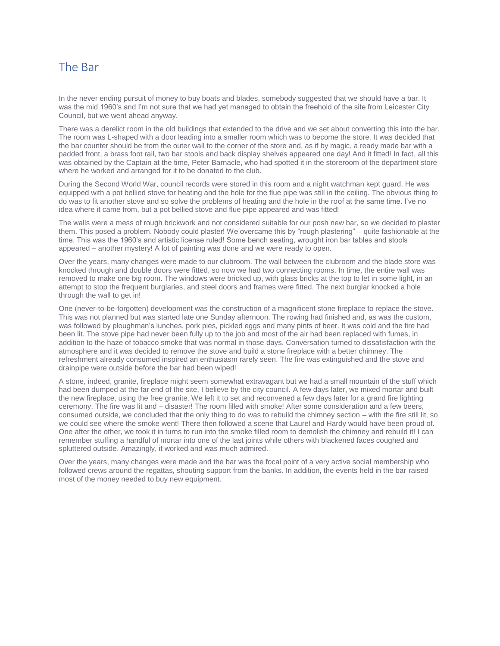### <span id="page-4-0"></span>The Bar

In the never ending pursuit of money to buy boats and blades, somebody suggested that we should have a bar. It was the mid 1960's and I'm not sure that we had yet managed to obtain the freehold of the site from Leicester City Council, but we went ahead anyway.

There was a derelict room in the old buildings that extended to the drive and we set about converting this into the bar. The room was L-shaped with a door leading into a smaller room which was to become the store. It was decided that the bar counter should be from the outer wall to the corner of the store and, as if by magic, a ready made bar with a padded front, a brass foot rail, two bar stools and back display shelves appeared one day! And it fitted! In fact, all this was obtained by the Captain at the time, Peter Barnacle, who had spotted it in the storeroom of the department store where he worked and arranged for it to be donated to the club.

During the Second World War, council records were stored in this room and a night watchman kept guard. He was equipped with a pot bellied stove for heating and the hole for the flue pipe was still in the ceiling. The obvious thing to do was to fit another stove and so solve the problems of heating and the hole in the roof at the same time. I've no idea where it came from, but a pot bellied stove and flue pipe appeared and was fitted!

The walls were a mess of rough brickwork and not considered suitable for our posh new bar, so we decided to plaster them. This posed a problem. Nobody could plaster! We overcame this by "rough plastering" – quite fashionable at the time. This was the 1960's and artistic license ruled! Some bench seating, wrought iron bar tables and stools appeared – another mystery! A lot of painting was done and we were ready to open.

Over the years, many changes were made to our clubroom. The wall between the clubroom and the blade store was knocked through and double doors were fitted, so now we had two connecting rooms. In time, the entire wall was removed to make one big room. The windows were bricked up, with glass bricks at the top to let in some light, in an attempt to stop the frequent burglaries, and steel doors and frames were fitted. The next burglar knocked a hole through the wall to get in!

One (never-to-be-forgotten) development was the construction of a magnificent stone fireplace to replace the stove. This was not planned but was started late one Sunday afternoon. The rowing had finished and, as was the custom, was followed by ploughman's lunches, pork pies, pickled eggs and many pints of beer. It was cold and the fire had been lit. The stove pipe had never been fully up to the job and most of the air had been replaced with fumes, in addition to the haze of tobacco smoke that was normal in those days. Conversation turned to dissatisfaction with the atmosphere and it was decided to remove the stove and build a stone fireplace with a better chimney. The refreshment already consumed inspired an enthusiasm rarely seen. The fire was extinguished and the stove and drainpipe were outside before the bar had been wiped!

A stone, indeed, granite, fireplace might seem somewhat extravagant but we had a small mountain of the stuff which had been dumped at the far end of the site, I believe by the city council. A few days later, we mixed mortar and built the new fireplace, using the free granite. We left it to set and reconvened a few days later for a grand fire lighting ceremony. The fire was lit and – disaster! The room filled with smoke! After some consideration and a few beers, consumed outside, we concluded that the only thing to do was to rebuild the chimney section – with the fire still lit, so we could see where the smoke went! There then followed a scene that Laurel and Hardy would have been proud of. One after the other, we took it in turns to run into the smoke filled room to demolish the chimney and rebuild it! I can remember stuffing a handful of mortar into one of the last joints while others with blackened faces coughed and spluttered outside. Amazingly, it worked and was much admired.

Over the years, many changes were made and the bar was the focal point of a very active social membership who followed crews around the regattas, shouting support from the banks. In addition, the events held in the bar raised most of the money needed to buy new equipment.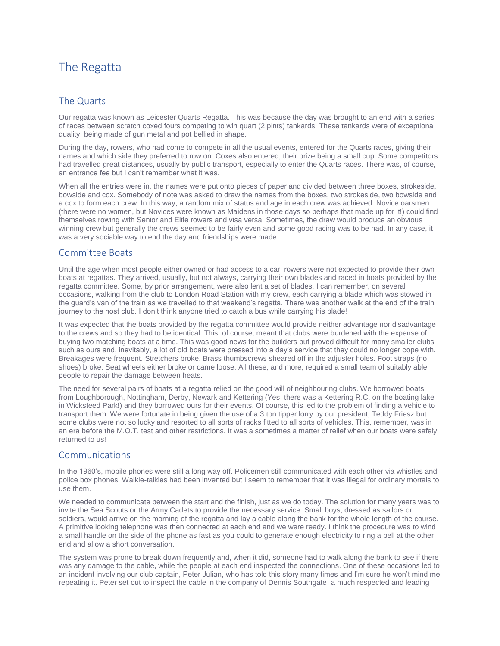# <span id="page-5-0"></span>The Regatta

#### <span id="page-5-1"></span>The Quarts

Our regatta was known as Leicester Quarts Regatta. This was because the day was brought to an end with a series of races between scratch coxed fours competing to win quart (2 pints) tankards. These tankards were of exceptional quality, being made of gun metal and pot bellied in shape.

During the day, rowers, who had come to compete in all the usual events, entered for the Quarts races, giving their names and which side they preferred to row on. Coxes also entered, their prize being a small cup. Some competitors had travelled great distances, usually by public transport, especially to enter the Quarts races. There was, of course, an entrance fee but I can't remember what it was.

When all the entries were in, the names were put onto pieces of paper and divided between three boxes, strokeside, bowside and cox. Somebody of note was asked to draw the names from the boxes, two strokeside, two bowside and a cox to form each crew. In this way, a random mix of status and age in each crew was achieved. Novice oarsmen (there were no women, but Novices were known as Maidens in those days so perhaps that made up for it!) could find themselves rowing with Senior and Elite rowers and visa versa. Sometimes, the draw would produce an obvious winning crew but generally the crews seemed to be fairly even and some good racing was to be had. In any case, it was a very sociable way to end the day and friendships were made.

#### <span id="page-5-2"></span>Committee Boats

Until the age when most people either owned or had access to a car, rowers were not expected to provide their own boats at regattas. They arrived, usually, but not always, carrying their own blades and raced in boats provided by the regatta committee. Some, by prior arrangement, were also lent a set of blades. I can remember, on several occasions, walking from the club to London Road Station with my crew, each carrying a blade which was stowed in the guard's van of the train as we travelled to that weekend's regatta. There was another walk at the end of the train journey to the host club. I don't think anyone tried to catch a bus while carrying his blade!

It was expected that the boats provided by the regatta committee would provide neither advantage nor disadvantage to the crews and so they had to be identical. This, of course, meant that clubs were burdened with the expense of buying two matching boats at a time. This was good news for the builders but proved difficult for many smaller clubs such as ours and, inevitably, a lot of old boats were pressed into a day's service that they could no longer cope with. Breakages were frequent. Stretchers broke. Brass thumbscrews sheared off in the adjuster holes. Foot straps (no shoes) broke. Seat wheels either broke or came loose. All these, and more, required a small team of suitably able people to repair the damage between heats.

The need for several pairs of boats at a regatta relied on the good will of neighbouring clubs. We borrowed boats from Loughborough, Nottingham, Derby, Newark and Kettering (Yes, there was a Kettering R.C. on the boating lake in Wicksteed Park!) and they borrowed ours for their events. Of course, this led to the problem of finding a vehicle to transport them. We were fortunate in being given the use of a 3 ton tipper lorry by our president, Teddy Friesz but some clubs were not so lucky and resorted to all sorts of racks fitted to all sorts of vehicles. This, remember, was in an era before the M.O.T. test and other restrictions. It was a sometimes a matter of relief when our boats were safely returned to us!

#### <span id="page-5-3"></span>Communications

In the 1960's, mobile phones were still a long way off. Policemen still communicated with each other via whistles and police box phones! Walkie-talkies had been invented but I seem to remember that it was illegal for ordinary mortals to use them.

We needed to communicate between the start and the finish, just as we do today. The solution for many years was to invite the Sea Scouts or the Army Cadets to provide the necessary service. Small boys, dressed as sailors or soldiers, would arrive on the morning of the regatta and lay a cable along the bank for the whole length of the course. A primitive looking telephone was then connected at each end and we were ready. I think the procedure was to wind a small handle on the side of the phone as fast as you could to generate enough electricity to ring a bell at the other end and allow a short conversation.

The system was prone to break down frequently and, when it did, someone had to walk along the bank to see if there was any damage to the cable, while the people at each end inspected the connections. One of these occasions led to an incident involving our club captain, Peter Julian, who has told this story many times and I'm sure he won't mind me repeating it. Peter set out to inspect the cable in the company of Dennis Southgate, a much respected and leading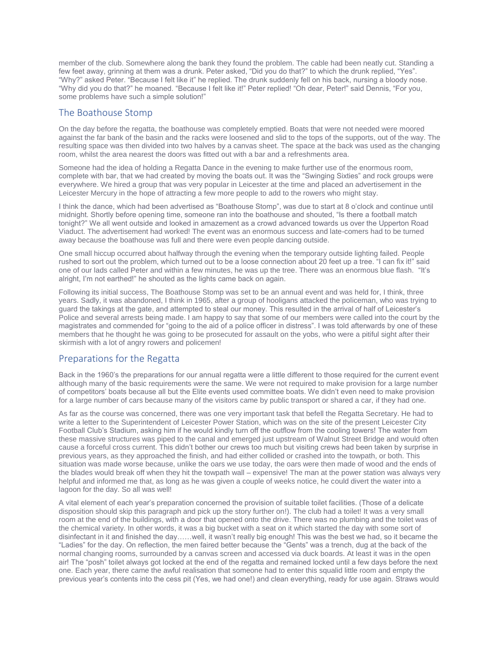member of the club. Somewhere along the bank they found the problem. The cable had been neatly cut. Standing a few feet away, grinning at them was a drunk. Peter asked, "Did you do that?" to which the drunk replied, "Yes". "Why?" asked Peter. "Because I felt like it" he replied. The drunk suddenly fell on his back, nursing a bloody nose. "Why did you do that?" he moaned. "Because I felt like it!" Peter replied! "Oh dear, Peter!" said Dennis, "For you, some problems have such a simple solution!"

#### <span id="page-6-0"></span>The Boathouse Stomp

On the day before the regatta, the boathouse was completely emptied. Boats that were not needed were moored against the far bank of the basin and the racks were loosened and slid to the tops of the supports, out of the way. The resulting space was then divided into two halves by a canvas sheet. The space at the back was used as the changing room, whilst the area nearest the doors was fitted out with a bar and a refreshments area.

Someone had the idea of holding a Regatta Dance in the evening to make further use of the enormous room, complete with bar, that we had created by moving the boats out. It was the "Swinging Sixties" and rock groups were everywhere. We hired a group that was very popular in Leicester at the time and placed an advertisement in the Leicester Mercury in the hope of attracting a few more people to add to the rowers who might stay.

I think the dance, which had been advertised as "Boathouse Stomp", was due to start at 8 o'clock and continue until midnight. Shortly before opening time, someone ran into the boathouse and shouted, "Is there a football match tonight?" We all went outside and looked in amazement as a crowd advanced towards us over the Upperton Road Viaduct. The advertisement had worked! The event was an enormous success and late-comers had to be turned away because the boathouse was full and there were even people dancing outside.

One small hiccup occurred about halfway through the evening when the temporary outside lighting failed. People rushed to sort out the problem, which turned out to be a loose connection about 20 feet up a tree. "I can fix it!" said one of our lads called Peter and within a few minutes, he was up the tree. There was an enormous blue flash. "It's alright, I'm not earthed!" he shouted as the lights came back on again.

Following its initial success, The Boathouse Stomp was set to be an annual event and was held for, I think, three years. Sadly, it was abandoned, I think in 1965, after a group of hooligans attacked the policeman, who was trying to guard the takings at the gate, and attempted to steal our money. This resulted in the arrival of half of Leicester's Police and several arrests being made. I am happy to say that some of our members were called into the court by the magistrates and commended for "going to the aid of a police officer in distress". I was told afterwards by one of these members that he thought he was going to be prosecuted for assault on the yobs, who were a pitiful sight after their skirmish with a lot of angry rowers and policemen!

#### <span id="page-6-1"></span>Preparations for the Regatta

Back in the 1960's the preparations for our annual regatta were a little different to those required for the current event although many of the basic requirements were the same. We were not required to make provision for a large number of competitors' boats because all but the Elite events used committee boats. We didn't even need to make provision for a large number of cars because many of the visitors came by public transport or shared a car, if they had one.

As far as the course was concerned, there was one very important task that befell the Regatta Secretary. He had to write a letter to the Superintendent of Leicester Power Station, which was on the site of the present Leicester City Football Club's Stadium, asking him if he would kindly turn off the outflow from the cooling towers! The water from these massive structures was piped to the canal and emerged just upstream of Walnut Street Bridge and would often cause a forceful cross current. This didn't bother our crews too much but visiting crews had been taken by surprise in previous years, as they approached the finish, and had either collided or crashed into the towpath, or both. This situation was made worse because, unlike the oars we use today, the oars were then made of wood and the ends of the blades would break off when they hit the towpath wall – expensive! The man at the power station was always very helpful and informed me that, as long as he was given a couple of weeks notice, he could divert the water into a lagoon for the day. So all was well!

A vital element of each year's preparation concerned the provision of suitable toilet facilities. (Those of a delicate disposition should skip this paragraph and pick up the story further on!). The club had a toilet! It was a very small room at the end of the buildings, with a door that opened onto the drive. There was no plumbing and the toilet was of the chemical variety. In other words, it was a big bucket with a seat on it which started the day with some sort of disinfectant in it and finished the day……well, it wasn't really big enough! This was the best we had, so it became the "Ladies" for the day. On reflection, the men faired better because the "Gents" was a trench, dug at the back of the normal changing rooms, surrounded by a canvas screen and accessed via duck boards. At least it was in the open air! The "posh" toilet always got locked at the end of the regatta and remained locked until a few days before the next one. Each year, there came the awful realisation that someone had to enter this squalid little room and empty the previous year's contents into the cess pit (Yes, we had one!) and clean everything, ready for use again. Straws would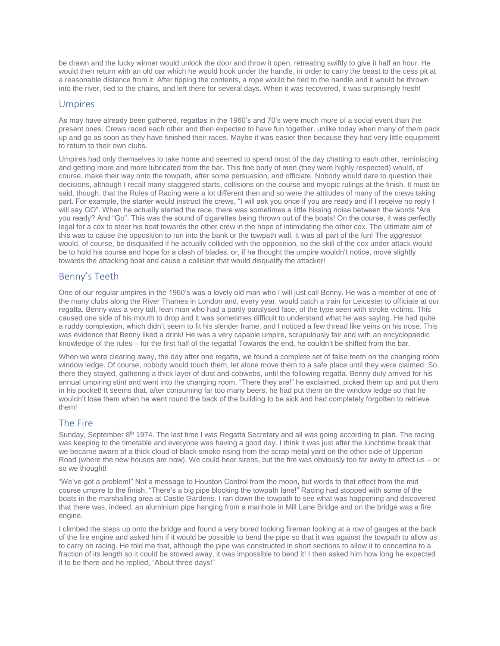be drawn and the lucky winner would unlock the door and throw it open, retreating swiftly to give it half an hour. He would then return with an old oar which he would hook under the handle, in order to carry the beast to the cess pit at a reasonable distance from it. After tipping the contents, a rope would be tied to the handle and it would be thrown into the river, tied to the chains, and left there for several days. When it was recovered, it was surprisingly fresh!

#### <span id="page-7-0"></span>Umpires

As may have already been gathered, regattas in the 1960's and 70's were much more of a social event than the present ones. Crews raced each other and then expected to have fun together, unlike today when many of them pack up and go as soon as they have finished their races. Maybe it was easier then because they had very little equipment to return to their own clubs.

Umpires had only themselves to take home and seemed to spend most of the day chatting to each other, reminiscing and getting more and more lubricated from the bar. This fine body of men (they were highly respected) would, of course, make their way onto the towpath, after some persuasion, and officiate. Nobody would dare to question their decisions, although I recall many staggered starts, collisions on the course and myopic rulings at the finish. It must be said, though, that the Rules of Racing were a lot different then and so were the attitudes of many of the crews taking part. For example, the starter would instruct the crews, "I will ask you once if you are ready and if I receive no reply I will say GO". When he actually started the race, there was sometimes a little hissing noise between the words "Are you ready? And "Go". This was the sound of cigarettes being thrown out of the boats! On the course, it was perfectly legal for a cox to steer his boat towards the other crew in the hope of intimidating the other cox. The ultimate aim of this was to cause the opposition to run into the bank or the towpath wall. It was all part of the fun! The aggressor would, of course, be disqualified if he actually collided with the opposition, so the skill of the cox under attack would be to hold his course and hope for a clash of blades, or, if he thought the umpire wouldn't notice, move slightly towards the attacking boat and cause a collision that would disqualify the attacker!

#### <span id="page-7-1"></span>Benny's Teeth

One of our regular umpires in the 1960's was a lovely old man who I will just call Benny. He was a member of one of the many clubs along the River Thames in London and, every year, would catch a train for Leicester to officiate at our regatta. Benny was a very tall, lean man who had a partly paralysed face, of the type seen with stroke victims. This caused one side of his mouth to drop and it was sometimes difficult to understand what he was saying. He had quite a ruddy complexion, which didn't seem to fit his slender frame, and I noticed a few thread like veins on his nose. This was evidence that Benny liked a drink! He was a very capable umpire, scrupulously fair and with an encyclopaedic knowledge of the rules – for the first half of the regatta! Towards the end, he couldn't be shifted from the bar.

When we were clearing away, the day after one regatta, we found a complete set of false teeth on the changing room window ledge. Of course, nobody would touch them, let alone move them to a safe place until they were claimed. So, there they stayed, gathering a thick layer of dust and cobwebs, until the following regatta. Benny duly arrived for his annual umpiring stint and went into the changing room. "There they are!" he exclaimed, picked them up and put them in his pocket! It seems that, after consuming far too many beers, he had put them on the window ledge so that he wouldn't lose them when he went round the back of the building to be sick and had completely forgotten to retrieve them!

#### <span id="page-7-2"></span>The Fire

Sunday, September 8<sup>th</sup> 1974. The last time I was Regatta Secretary and all was going according to plan. The racing was keeping to the timetable and everyone was having a good day. I think it was just after the lunchtime break that we became aware of a thick cloud of black smoke rising from the scrap metal yard on the other side of Upperton Road (where the new houses are now). We could hear sirens, but the fire was obviously too far away to affect us  $-$  or so we thought!

"We've got a problem!" Not a message to Houston Control from the moon, but words to that effect from the mid course umpire to the finish. "There's a big pipe blocking the towpath lane!" Racing had stopped with some of the boats in the marshalling area at Castle Gardens. I ran down the towpath to see what was happening and discovered that there was, indeed, an aluminium pipe hanging from a manhole in Mill Lane Bridge and on the bridge was a fire engine.

I climbed the steps up onto the bridge and found a very bored looking fireman looking at a row of gauges at the back of the fire engine and asked him if it would be possible to bend the pipe so that it was against the towpath to allow us to carry on racing. He told me that, although the pipe was constructed in short sections to allow it to concertina to a fraction of its length so it could be stowed away, it was impossible to bend it! I then asked him how long he expected it to be there and he replied, "About three days!"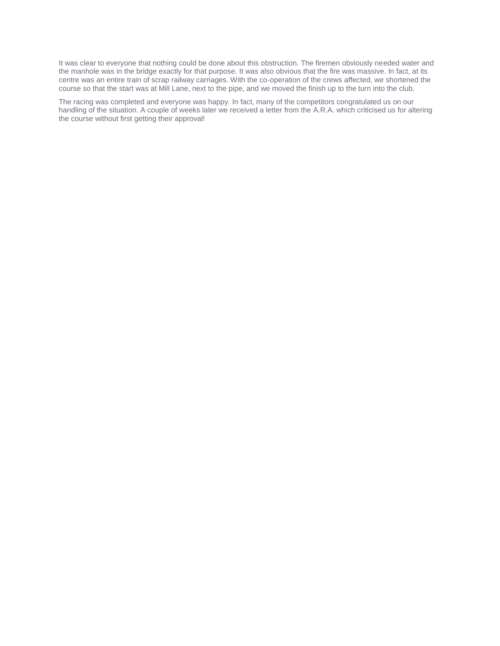It was clear to everyone that nothing could be done about this obstruction. The firemen obviously needed water and the manhole was in the bridge exactly for that purpose. It was also obvious that the fire was massive. In fact, at its centre was an entire train of scrap railway carriages. With the co-operation of the crews affected, we shortened the course so that the start was at Mill Lane, next to the pipe, and we moved the finish up to the turn into the club.

The racing was completed and everyone was happy. In fact, many of the competitors congratulated us on our handling of the situation. A couple of weeks later we received a letter from the A.R.A. which criticised us for altering the course without first getting their approval!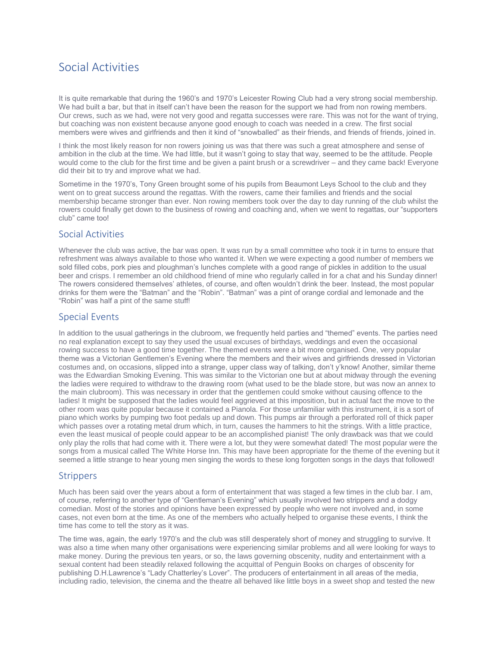# <span id="page-9-0"></span>Social Activities

It is quite remarkable that during the 1960's and 1970's Leicester Rowing Club had a very strong social membership. We had built a bar, but that in itself can't have been the reason for the support we had from non rowing members. Our crews, such as we had, were not very good and regatta successes were rare. This was not for the want of trying, but coaching was non existent because anyone good enough to coach was needed in a crew. The first social members were wives and girlfriends and then it kind of "snowballed" as their friends, and friends of friends, joined in.

I think the most likely reason for non rowers joining us was that there was such a great atmosphere and sense of ambition in the club at the time. We had little, but it wasn't going to stay that way, seemed to be the attitude. People would come to the club for the first time and be given a paint brush or a screwdriver – and they came back! Everyone did their bit to try and improve what we had.

Sometime in the 1970's, Tony Green brought some of his pupils from Beaumont Leys School to the club and they went on to great success around the regattas. With the rowers, came their families and friends and the social membership became stronger than ever. Non rowing members took over the day to day running of the club whilst the rowers could finally get down to the business of rowing and coaching and, when we went to regattas, our "supporters club" came too!

#### <span id="page-9-1"></span>Social Activities

Whenever the club was active, the bar was open. It was run by a small committee who took it in turns to ensure that refreshment was always available to those who wanted it. When we were expecting a good number of members we sold filled cobs, pork pies and ploughman's lunches complete with a good range of pickles in addition to the usual beer and crisps. I remember an old childhood friend of mine who regularly called in for a chat and his Sunday dinner! The rowers considered themselves' athletes, of course, and often wouldn't drink the beer. Instead, the most popular drinks for them were the "Batman" and the "Robin". "Batman" was a pint of orange cordial and lemonade and the "Robin" was half a pint of the same stuff!

#### <span id="page-9-2"></span>Special Events

In addition to the usual gatherings in the clubroom, we frequently held parties and "themed" events. The parties need no real explanation except to say they used the usual excuses of birthdays, weddings and even the occasional rowing success to have a good time together. The themed events were a bit more organised. One, very popular theme was a Victorian Gentlemen's Evening where the members and their wives and girlfriends dressed in Victorian costumes and, on occasions, slipped into a strange, upper class way of talking, don't y'know! Another, similar theme was the Edwardian Smoking Evening. This was similar to the Victorian one but at about midway through the evening the ladies were required to withdraw to the drawing room (what used to be the blade store, but was now an annex to the main clubroom). This was necessary in order that the gentlemen could smoke without causing offence to the ladies! It might be supposed that the ladies would feel aggrieved at this imposition, but in actual fact the move to the other room was quite popular because it contained a Pianola. For those unfamiliar with this instrument, it is a sort of piano which works by pumping two foot pedals up and down. This pumps air through a perforated roll of thick paper which passes over a rotating metal drum which, in turn, causes the hammers to hit the strings. With a little practice, even the least musical of people could appear to be an accomplished pianist! The only drawback was that we could only play the rolls that had come with it. There were a lot, but they were somewhat dated! The most popular were the songs from a musical called The White Horse Inn. This may have been appropriate for the theme of the evening but it seemed a little strange to hear young men singing the words to these long forgotten songs in the days that followed!

#### <span id="page-9-3"></span>**Strippers**

Much has been said over the years about a form of entertainment that was staged a few times in the club bar. I am, of course, referring to another type of "Gentleman's Evening" which usually involved two strippers and a dodgy comedian. Most of the stories and opinions have been expressed by people who were not involved and, in some cases, not even born at the time. As one of the members who actually helped to organise these events, I think the time has come to tell the story as it was.

The time was, again, the early 1970's and the club was still desperately short of money and struggling to survive. It was also a time when many other organisations were experiencing similar problems and all were looking for ways to make money. During the previous ten years, or so, the laws governing obscenity, nudity and entertainment with a sexual content had been steadily relaxed following the acquittal of Penguin Books on charges of obscenity for publishing D.H.Lawrence's "Lady Chatterley's Lover". The producers of entertainment in all areas of the media, including radio, television, the cinema and the theatre all behaved like little boys in a sweet shop and tested the new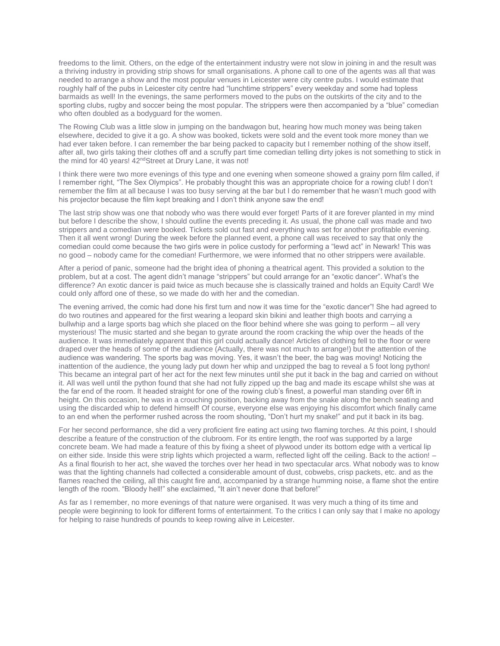freedoms to the limit. Others, on the edge of the entertainment industry were not slow in joining in and the result was a thriving industry in providing strip shows for small organisations. A phone call to one of the agents was all that was needed to arrange a show and the most popular venues in Leicester were city centre pubs. I would estimate that roughly half of the pubs in Leicester city centre had "lunchtime strippers" every weekday and some had topless barmaids as well! In the evenings, the same performers moved to the pubs on the outskirts of the city and to the sporting clubs, rugby and soccer being the most popular. The strippers were then accompanied by a "blue" comedian who often doubled as a bodyguard for the women.

The Rowing Club was a little slow in jumping on the bandwagon but, hearing how much money was being taken elsewhere, decided to give it a go. A show was booked, tickets were sold and the event took more money than we had ever taken before. I can remember the bar being packed to capacity but I remember nothing of the show itself, after all, two girls taking their clothes off and a scruffy part time comedian telling dirty jokes is not something to stick in the mind for 40 years! 42<sup>nd</sup>Street at Drury Lane, it was not!

I think there were two more evenings of this type and one evening when someone showed a grainy porn film called, if I remember right, "The Sex Olympics". He probably thought this was an appropriate choice for a rowing club! I don't remember the film at all because I was too busy serving at the bar but I do remember that he wasn't much good with his projector because the film kept breaking and I don't think anyone saw the end!

The last strip show was one that nobody who was there would ever forget! Parts of it are forever planted in my mind but before I describe the show, I should outline the events preceding it. As usual, the phone call was made and two strippers and a comedian were booked. Tickets sold out fast and everything was set for another profitable evening. Then it all went wrong! During the week before the planned event, a phone call was received to say that only the comedian could come because the two girls were in police custody for performing a "lewd act" in Newark! This was no good – nobody came for the comedian! Furthermore, we were informed that no other strippers were available.

After a period of panic, someone had the bright idea of phoning a theatrical agent. This provided a solution to the problem, but at a cost. The agent didn't manage "strippers" but could arrange for an "exotic dancer". What's the difference? An exotic dancer is paid twice as much because she is classically trained and holds an Equity Card! We could only afford one of these, so we made do with her and the comedian.

The evening arrived, the comic had done his first turn and now it was time for the "exotic dancer"! She had agreed to do two routines and appeared for the first wearing a leopard skin bikini and leather thigh boots and carrying a bullwhip and a large sports bag which she placed on the floor behind where she was going to perform – all very mysterious! The music started and she began to gyrate around the room cracking the whip over the heads of the audience. It was immediately apparent that this girl could actually dance! Articles of clothing fell to the floor or were draped over the heads of some of the audience (Actually, there was not much to arrange!) but the attention of the audience was wandering. The sports bag was moving. Yes, it wasn't the beer, the bag was moving! Noticing the inattention of the audience, the young lady put down her whip and unzipped the bag to reveal a 5 foot long python! This became an integral part of her act for the next few minutes until she put it back in the bag and carried on without it. All was well until the python found that she had not fully zipped up the bag and made its escape whilst she was at the far end of the room. It headed straight for one of the rowing club's finest, a powerful man standing over 6ft in height. On this occasion, he was in a crouching position, backing away from the snake along the bench seating and using the discarded whip to defend himself! Of course, everyone else was enjoying his discomfort which finally came to an end when the performer rushed across the room shouting, "Don't hurt my snake!" and put it back in its bag.

For her second performance, she did a very proficient fire eating act using two flaming torches. At this point, I should describe a feature of the construction of the clubroom. For its entire length, the roof was supported by a large concrete beam. We had made a feature of this by fixing a sheet of plywood under its bottom edge with a vertical lip on either side. Inside this were strip lights which projected a warm, reflected light off the ceiling. Back to the action! – As a final flourish to her act, she waved the torches over her head in two spectacular arcs. What nobody was to know was that the lighting channels had collected a considerable amount of dust, cobwebs, crisp packets, etc. and as the flames reached the ceiling, all this caught fire and, accompanied by a strange humming noise, a flame shot the entire length of the room. "Bloody hell!" she exclaimed, "It ain't never done that before!"

As far as I remember, no more evenings of that nature were organised. It was very much a thing of its time and people were beginning to look for different forms of entertainment. To the critics I can only say that I make no apology for helping to raise hundreds of pounds to keep rowing alive in Leicester.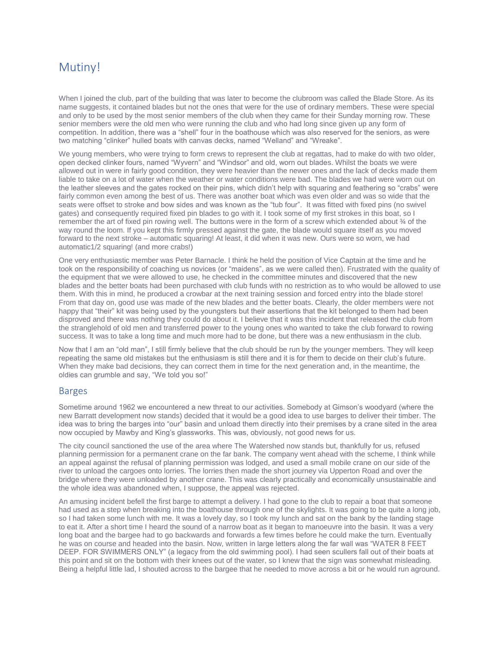## <span id="page-11-0"></span>Mutiny!

When I joined the club, part of the building that was later to become the clubroom was called the Blade Store. As its name suggests, it contained blades but not the ones that were for the use of ordinary members. These were special and only to be used by the most senior members of the club when they came for their Sunday morning row. These senior members were the old men who were running the club and who had long since given up any form of competition. In addition, there was a "shell" four in the boathouse which was also reserved for the seniors, as were two matching "clinker" hulled boats with canvas decks, named "Welland" and "Wreake".

We young members, who were trying to form crews to represent the club at regattas, had to make do with two older, open decked clinker fours, named "Wyvern" and "Windsor" and old, worn out blades. Whilst the boats we were allowed out in were in fairly good condition, they were heavier than the newer ones and the lack of decks made them liable to take on a lot of water when the weather or water conditions were bad. The blades we had were worn out on the leather sleeves and the gates rocked on their pins, which didn't help with squaring and feathering so "crabs" were fairly common even among the best of us. There was another boat which was even older and was so wide that the seats were offset to stroke and bow sides and was known as the "tub four". It was fitted with fixed pins (no swivel gates) and consequently required fixed pin blades to go with it. I took some of my first strokes in this boat, so I remember the art of fixed pin rowing well. The buttons were in the form of a screw which extended about ¾ of the way round the loom. If you kept this firmly pressed against the gate, the blade would square itself as you moved forward to the next stroke – automatic squaring! At least, it did when it was new. Ours were so worn, we had automatic1/2 squaring! (and more crabs!)

One very enthusiastic member was Peter Barnacle. I think he held the position of Vice Captain at the time and he took on the responsibility of coaching us novices (or "maidens", as we were called then). Frustrated with the quality of the equipment that we were allowed to use, he checked in the committee minutes and discovered that the new blades and the better boats had been purchased with club funds with no restriction as to who would be allowed to use them. With this in mind, he produced a crowbar at the next training session and forced entry into the blade store! From that day on, good use was made of the new blades and the better boats. Clearly, the older members were not happy that "their" kit was being used by the youngsters but their assertions that the kit belonged to them had been disproved and there was nothing they could do about it. I believe that it was this incident that released the club from the stranglehold of old men and transferred power to the young ones who wanted to take the club forward to rowing success. It was to take a long time and much more had to be done, but there was a new enthusiasm in the club.

Now that I am an "old man", I still firmly believe that the club should be run by the younger members. They will keep repeating the same old mistakes but the enthusiasm is still there and it is for them to decide on their club's future. When they make bad decisions, they can correct them in time for the next generation and, in the meantime, the oldies can grumble and say, "We told you so!"

#### <span id="page-11-1"></span>Barges

Sometime around 1962 we encountered a new threat to our activities. Somebody at Gimson's woodyard (where the new Barratt development now stands) decided that it would be a good idea to use barges to deliver their timber. The idea was to bring the barges into "our" basin and unload them directly into their premises by a crane sited in the area now occupied by Mawby and King's glassworks. This was, obviously, not good news for us.

The city council sanctioned the use of the area where The Watershed now stands but, thankfully for us, refused planning permission for a permanent crane on the far bank. The company went ahead with the scheme, I think while an appeal against the refusal of planning permission was lodged, and used a small mobile crane on our side of the river to unload the cargoes onto lorries. The lorries then made the short journey via Upperton Road and over the bridge where they were unloaded by another crane. This was clearly practically and economically unsustainable and the whole idea was abandoned when, I suppose, the appeal was rejected.

An amusing incident befell the first barge to attempt a delivery. I had gone to the club to repair a boat that someone had used as a step when breaking into the boathouse through one of the skylights. It was going to be quite a long job, so I had taken some lunch with me. It was a lovely day, so I took my lunch and sat on the bank by the landing stage to eat it. After a short time I heard the sound of a narrow boat as it began to manoeuvre into the basin. It was a very long boat and the bargee had to go backwards and forwards a few times before he could make the turn. Eventually he was on course and headed into the basin. Now, written in large letters along the far wall was "WATER 8 FEET DEEP. FOR SWIMMERS ONLY" (a legacy from the old swimming pool). I had seen scullers fall out of their boats at this point and sit on the bottom with their knees out of the water, so I knew that the sign was somewhat misleading. Being a helpful little lad, I shouted across to the bargee that he needed to move across a bit or he would run aground.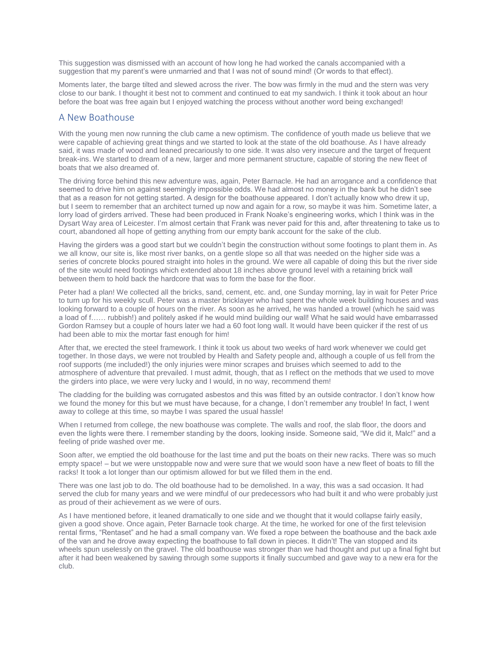This suggestion was dismissed with an account of how long he had worked the canals accompanied with a suggestion that my parent's were unmarried and that I was not of sound mind! (Or words to that effect).

Moments later, the barge tilted and slewed across the river. The bow was firmly in the mud and the stern was very close to our bank. I thought it best not to comment and continued to eat my sandwich. I think it took about an hour before the boat was free again but I enjoyed watching the process without another word being exchanged!

#### <span id="page-12-0"></span>A New Boathouse

With the young men now running the club came a new optimism. The confidence of youth made us believe that we were capable of achieving great things and we started to look at the state of the old boathouse. As I have already said, it was made of wood and leaned precariously to one side. It was also very insecure and the target of frequent break-ins. We started to dream of a new, larger and more permanent structure, capable of storing the new fleet of boats that we also dreamed of.

The driving force behind this new adventure was, again, Peter Barnacle. He had an arrogance and a confidence that seemed to drive him on against seemingly impossible odds. We had almost no money in the bank but he didn't see that as a reason for not getting started. A design for the boathouse appeared. I don't actually know who drew it up, but I seem to remember that an architect turned up now and again for a row, so maybe it was him. Sometime later, a lorry load of girders arrived. These had been produced in Frank Noake's engineering works, which I think was in the Dysart Way area of Leicester. I'm almost certain that Frank was never paid for this and, after threatening to take us to court, abandoned all hope of getting anything from our empty bank account for the sake of the club.

Having the girders was a good start but we couldn't begin the construction without some footings to plant them in. As we all know, our site is, like most river banks, on a gentle slope so all that was needed on the higher side was a series of concrete blocks poured straight into holes in the ground. We were all capable of doing this but the river side of the site would need footings which extended about 18 inches above ground level with a retaining brick wall between them to hold back the hardcore that was to form the base for the floor.

Peter had a plan! We collected all the bricks, sand, cement, etc. and, one Sunday morning, lay in wait for Peter Price to turn up for his weekly scull. Peter was a master bricklayer who had spent the whole week building houses and was looking forward to a couple of hours on the river. As soon as he arrived, he was handed a trowel (which he said was a load of f…… rubbish!) and politely asked if he would mind building our wall! What he said would have embarrassed Gordon Ramsey but a couple of hours later we had a 60 foot long wall. It would have been quicker if the rest of us had been able to mix the mortar fast enough for him!

After that, we erected the steel framework. I think it took us about two weeks of hard work whenever we could get together. In those days, we were not troubled by Health and Safety people and, although a couple of us fell from the roof supports (me included!) the only injuries were minor scrapes and bruises which seemed to add to the atmosphere of adventure that prevailed. I must admit, though, that as I reflect on the methods that we used to move the girders into place, we were very lucky and I would, in no way, recommend them!

The cladding for the building was corrugated asbestos and this was fitted by an outside contractor. I don't know how we found the money for this but we must have because, for a change, I don't remember any trouble! In fact, I went away to college at this time, so maybe I was spared the usual hassle!

When I returned from college, the new boathouse was complete. The walls and roof, the slab floor, the doors and even the lights were there. I remember standing by the doors, looking inside. Someone said, "We did it, Malc!" and a feeling of pride washed over me.

Soon after, we emptied the old boathouse for the last time and put the boats on their new racks. There was so much empty space! – but we were unstoppable now and were sure that we would soon have a new fleet of boats to fill the racks! It took a lot longer than our optimism allowed for but we filled them in the end.

There was one last job to do. The old boathouse had to be demolished. In a way, this was a sad occasion. It had served the club for many years and we were mindful of our predecessors who had built it and who were probably just as proud of their achievement as we were of ours.

As I have mentioned before, it leaned dramatically to one side and we thought that it would collapse fairly easily, given a good shove. Once again, Peter Barnacle took charge. At the time, he worked for one of the first television rental firms, "Rentaset" and he had a small company van. We fixed a rope between the boathouse and the back axle of the van and he drove away expecting the boathouse to fall down in pieces. It didn't! The van stopped and its wheels spun uselessly on the gravel. The old boathouse was stronger than we had thought and put up a final fight but after it had been weakened by sawing through some supports it finally succumbed and gave way to a new era for the club.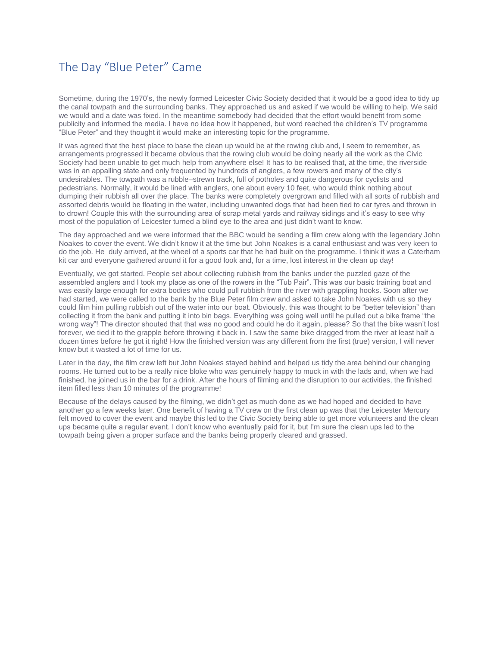# <span id="page-13-0"></span>The Day "Blue Peter" Came

Sometime, during the 1970's, the newly formed Leicester Civic Society decided that it would be a good idea to tidy up the canal towpath and the surrounding banks. They approached us and asked if we would be willing to help. We said we would and a date was fixed. In the meantime somebody had decided that the effort would benefit from some publicity and informed the media. I have no idea how it happened, but word reached the children's TV programme "Blue Peter" and they thought it would make an interesting topic for the programme.

It was agreed that the best place to base the clean up would be at the rowing club and, I seem to remember, as arrangements progressed it became obvious that the rowing club would be doing nearly all the work as the Civic Society had been unable to get much help from anywhere else! It has to be realised that, at the time, the riverside was in an appalling state and only frequented by hundreds of anglers, a few rowers and many of the city's undesirables. The towpath was a rubble–strewn track, full of potholes and quite dangerous for cyclists and pedestrians. Normally, it would be lined with anglers, one about every 10 feet, who would think nothing about dumping their rubbish all over the place. The banks were completely overgrown and filled with all sorts of rubbish and assorted debris would be floating in the water, including unwanted dogs that had been tied to car tyres and thrown in to drown! Couple this with the surrounding area of scrap metal yards and railway sidings and it's easy to see why most of the population of Leicester turned a blind eye to the area and just didn't want to know.

The day approached and we were informed that the BBC would be sending a film crew along with the legendary John Noakes to cover the event. We didn't know it at the time but John Noakes is a canal enthusiast and was very keen to do the job. He duly arrived, at the wheel of a sports car that he had built on the programme. I think it was a Caterham kit car and everyone gathered around it for a good look and, for a time, lost interest in the clean up day!

Eventually, we got started. People set about collecting rubbish from the banks under the puzzled gaze of the assembled anglers and I took my place as one of the rowers in the "Tub Pair". This was our basic training boat and was easily large enough for extra bodies who could pull rubbish from the river with grappling hooks. Soon after we had started, we were called to the bank by the Blue Peter film crew and asked to take John Noakes with us so they could film him pulling rubbish out of the water into our boat. Obviously, this was thought to be "better television" than collecting it from the bank and putting it into bin bags. Everything was going well until he pulled out a bike frame "the wrong way"! The director shouted that that was no good and could he do it again, please? So that the bike wasn't lost forever, we tied it to the grapple before throwing it back in. I saw the same bike dragged from the river at least half a dozen times before he got it right! How the finished version was any different from the first (true) version, I will never know but it wasted a lot of time for us.

Later in the day, the film crew left but John Noakes stayed behind and helped us tidy the area behind our changing rooms. He turned out to be a really nice bloke who was genuinely happy to muck in with the lads and, when we had finished, he joined us in the bar for a drink. After the hours of filming and the disruption to our activities, the finished item filled less than 10 minutes of the programme!

Because of the delays caused by the filming, we didn't get as much done as we had hoped and decided to have another go a few weeks later. One benefit of having a TV crew on the first clean up was that the Leicester Mercury felt moved to cover the event and maybe this led to the Civic Society being able to get more volunteers and the clean ups became quite a regular event. I don't know who eventually paid for it, but I'm sure the clean ups led to the towpath being given a proper surface and the banks being properly cleared and grassed.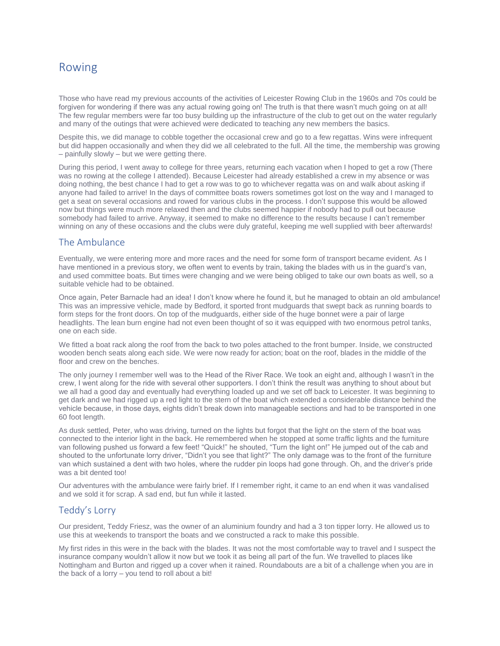# <span id="page-14-0"></span>Rowing

Those who have read my previous accounts of the activities of Leicester Rowing Club in the 1960s and 70s could be forgiven for wondering if there was any actual rowing going on! The truth is that there wasn't much going on at all! The few regular members were far too busy building up the infrastructure of the club to get out on the water regularly and many of the outings that were achieved were dedicated to teaching any new members the basics.

Despite this, we did manage to cobble together the occasional crew and go to a few regattas. Wins were infrequent but did happen occasionally and when they did we all celebrated to the full. All the time, the membership was growing – painfully slowly – but we were getting there.

During this period, I went away to college for three years, returning each vacation when I hoped to get a row (There was no rowing at the college I attended). Because Leicester had already established a crew in my absence or was doing nothing, the best chance I had to get a row was to go to whichever regatta was on and walk about asking if anyone had failed to arrive! In the days of committee boats rowers sometimes got lost on the way and I managed to get a seat on several occasions and rowed for various clubs in the process. I don't suppose this would be allowed now but things were much more relaxed then and the clubs seemed happier if nobody had to pull out because somebody had failed to arrive. Anyway, it seemed to make no difference to the results because I can't remember winning on any of these occasions and the clubs were duly grateful, keeping me well supplied with beer afterwards!

#### <span id="page-14-1"></span>The Ambulance

Eventually, we were entering more and more races and the need for some form of transport became evident. As I have mentioned in a previous story, we often went to events by train, taking the blades with us in the guard's van, and used committee boats. But times were changing and we were being obliged to take our own boats as well, so a suitable vehicle had to be obtained.

Once again, Peter Barnacle had an idea! I don't know where he found it, but he managed to obtain an old ambulance! This was an impressive vehicle, made by Bedford, it sported front mudguards that swept back as running boards to form steps for the front doors. On top of the mudguards, either side of the huge bonnet were a pair of large headlights. The lean burn engine had not even been thought of so it was equipped with two enormous petrol tanks, one on each side.

We fitted a boat rack along the roof from the back to two poles attached to the front bumper. Inside, we constructed wooden bench seats along each side. We were now ready for action; boat on the roof, blades in the middle of the floor and crew on the benches.

The only journey I remember well was to the Head of the River Race. We took an eight and, although I wasn't in the crew, I went along for the ride with several other supporters. I don't think the result was anything to shout about but we all had a good day and eventually had everything loaded up and we set off back to Leicester. It was beginning to get dark and we had rigged up a red light to the stern of the boat which extended a considerable distance behind the vehicle because, in those days, eights didn't break down into manageable sections and had to be transported in one 60 foot length.

As dusk settled, Peter, who was driving, turned on the lights but forgot that the light on the stern of the boat was connected to the interior light in the back. He remembered when he stopped at some traffic lights and the furniture van following pushed us forward a few feet! "Quick!" he shouted, "Turn the light on!" He jumped out of the cab and shouted to the unfortunate lorry driver, "Didn't you see that light?" The only damage was to the front of the furniture van which sustained a dent with two holes, where the rudder pin loops had gone through. Oh, and the driver's pride was a bit dented too!

Our adventures with the ambulance were fairly brief. If I remember right, it came to an end when it was vandalised and we sold it for scrap. A sad end, but fun while it lasted.

#### <span id="page-14-2"></span>Teddy's Lorry

Our president, Teddy Friesz, was the owner of an aluminium foundry and had a 3 ton tipper lorry. He allowed us to use this at weekends to transport the boats and we constructed a rack to make this possible.

My first rides in this were in the back with the blades. It was not the most comfortable way to travel and I suspect the insurance company wouldn't allow it now but we took it as being all part of the fun. We travelled to places like Nottingham and Burton and rigged up a cover when it rained. Roundabouts are a bit of a challenge when you are in the back of a lorry – you tend to roll about a bit!